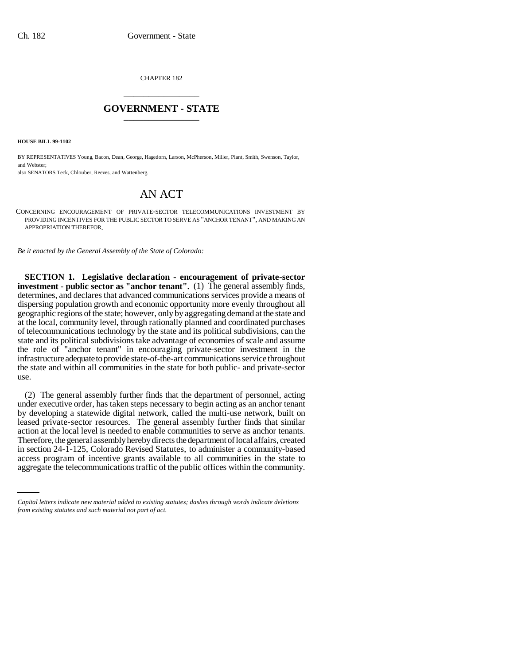CHAPTER 182 \_\_\_\_\_\_\_\_\_\_\_\_\_\_\_

## **GOVERNMENT - STATE** \_\_\_\_\_\_\_\_\_\_\_\_\_\_\_

**HOUSE BILL 99-1102** 

BY REPRESENTATIVES Young, Bacon, Dean, George, Hagedorn, Larson, McPherson, Miller, Plant, Smith, Swenson, Taylor, and Webster:

also SENATORS Teck, Chlouber, Reeves, and Wattenberg.

## AN ACT

CONCERNING ENCOURAGEMENT OF PRIVATE-SECTOR TELECOMMUNICATIONS INVESTMENT BY PROVIDING INCENTIVES FOR THE PUBLIC SECTOR TO SERVE AS "ANCHOR TENANT", AND MAKING AN APPROPRIATION THEREFOR.

*Be it enacted by the General Assembly of the State of Colorado:*

**SECTION 1. Legislative declaration - encouragement of private-sector investment - public sector as "anchor tenant".** (1) The general assembly finds, determines, and declares that advanced communications services provide a means of dispersing population growth and economic opportunity more evenly throughout all geographic regions of the state; however, only by aggregating demand at the state and at the local, community level, through rationally planned and coordinated purchases of telecommunications technology by the state and its political subdivisions, can the state and its political subdivisions take advantage of economies of scale and assume the role of "anchor tenant" in encouraging private-sector investment in the infrastructure adequate to provide state-of-the-art communications service throughout the state and within all communities in the state for both public- and private-sector use.

in section 24-1-125, Colorado Revised Statutes, to administer a community-based (2) The general assembly further finds that the department of personnel, acting under executive order, has taken steps necessary to begin acting as an anchor tenant by developing a statewide digital network, called the multi-use network, built on leased private-sector resources. The general assembly further finds that similar action at the local level is needed to enable communities to serve as anchor tenants. Therefore, the general assembly hereby directs the department of local affairs, created access program of incentive grants available to all communities in the state to aggregate the telecommunications traffic of the public offices within the community.

*Capital letters indicate new material added to existing statutes; dashes through words indicate deletions from existing statutes and such material not part of act.*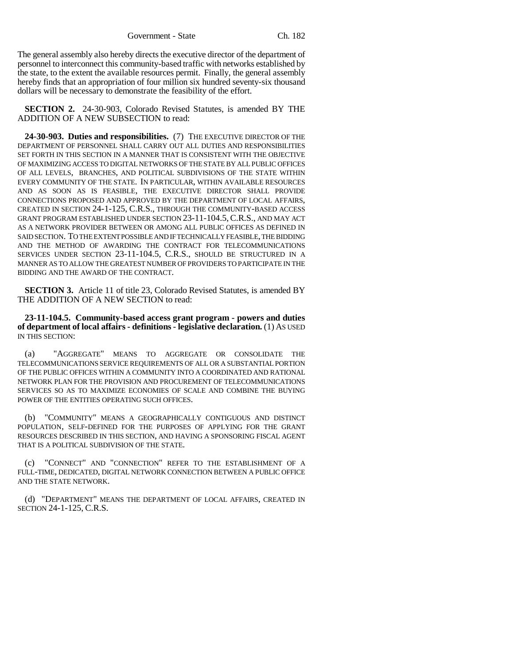The general assembly also hereby directs the executive director of the department of personnel to interconnect this community-based traffic with networks established by the state, to the extent the available resources permit. Finally, the general assembly hereby finds that an appropriation of four million six hundred seventy-six thousand dollars will be necessary to demonstrate the feasibility of the effort.

**SECTION 2.** 24-30-903, Colorado Revised Statutes, is amended BY THE ADDITION OF A NEW SUBSECTION to read:

**24-30-903. Duties and responsibilities.** (7) THE EXECUTIVE DIRECTOR OF THE DEPARTMENT OF PERSONNEL SHALL CARRY OUT ALL DUTIES AND RESPONSIBILITIES SET FORTH IN THIS SECTION IN A MANNER THAT IS CONSISTENT WITH THE OBJECTIVE OF MAXIMIZING ACCESS TO DIGITAL NETWORKS OF THE STATE BY ALL PUBLIC OFFICES OF ALL LEVELS, BRANCHES, AND POLITICAL SUBDIVISIONS OF THE STATE WITHIN EVERY COMMUNITY OF THE STATE. IN PARTICULAR, WITHIN AVAILABLE RESOURCES AND AS SOON AS IS FEASIBLE, THE EXECUTIVE DIRECTOR SHALL PROVIDE CONNECTIONS PROPOSED AND APPROVED BY THE DEPARTMENT OF LOCAL AFFAIRS, CREATED IN SECTION 24-1-125, C.R.S., THROUGH THE COMMUNITY-BASED ACCESS GRANT PROGRAM ESTABLISHED UNDER SECTION 23-11-104.5,C.R.S., AND MAY ACT AS A NETWORK PROVIDER BETWEEN OR AMONG ALL PUBLIC OFFICES AS DEFINED IN SAID SECTION. TO THE EXTENT POSSIBLE AND IF TECHNICALLY FEASIBLE, THE BIDDING AND THE METHOD OF AWARDING THE CONTRACT FOR TELECOMMUNICATIONS SERVICES UNDER SECTION 23-11-104.5, C.R.S., SHOULD BE STRUCTURED IN A MANNER AS TO ALLOW THE GREATEST NUMBER OF PROVIDERS TO PARTICIPATE IN THE BIDDING AND THE AWARD OF THE CONTRACT.

**SECTION 3.** Article 11 of title 23, Colorado Revised Statutes, is amended BY THE ADDITION OF A NEW SECTION to read:

**23-11-104.5. Community-based access grant program - powers and duties of department of local affairs - definitions - legislative declaration.** (1) AS USED IN THIS SECTION:

(a) "AGGREGATE" MEANS TO AGGREGATE OR CONSOLIDATE THE TELECOMMUNICATIONS SERVICE REQUIREMENTS OF ALL OR A SUBSTANTIAL PORTION OF THE PUBLIC OFFICES WITHIN A COMMUNITY INTO A COORDINATED AND RATIONAL NETWORK PLAN FOR THE PROVISION AND PROCUREMENT OF TELECOMMUNICATIONS SERVICES SO AS TO MAXIMIZE ECONOMIES OF SCALE AND COMBINE THE BUYING POWER OF THE ENTITIES OPERATING SUCH OFFICES.

(b) "COMMUNITY" MEANS A GEOGRAPHICALLY CONTIGUOUS AND DISTINCT POPULATION, SELF-DEFINED FOR THE PURPOSES OF APPLYING FOR THE GRANT RESOURCES DESCRIBED IN THIS SECTION, AND HAVING A SPONSORING FISCAL AGENT THAT IS A POLITICAL SUBDIVISION OF THE STATE.

(c) "CONNECT" AND "CONNECTION" REFER TO THE ESTABLISHMENT OF A FULL-TIME, DEDICATED, DIGITAL NETWORK CONNECTION BETWEEN A PUBLIC OFFICE AND THE STATE NETWORK.

(d) "DEPARTMENT" MEANS THE DEPARTMENT OF LOCAL AFFAIRS, CREATED IN SECTION 24-1-125, C.R.S.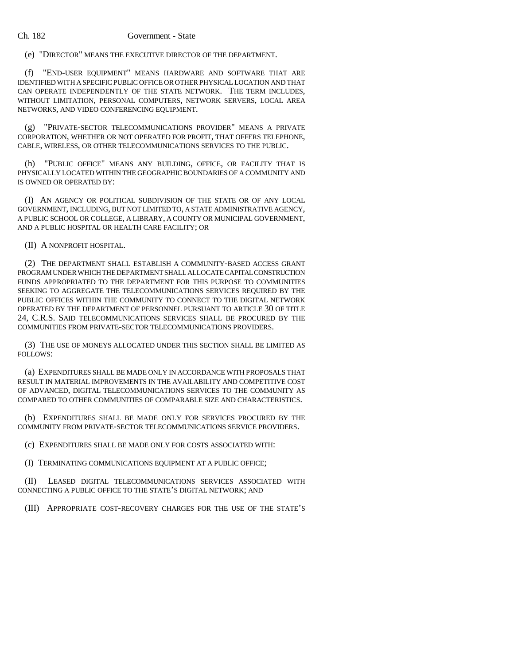## Ch. 182 Government - State

(e) "DIRECTOR" MEANS THE EXECUTIVE DIRECTOR OF THE DEPARTMENT.

(f) "END-USER EQUIPMENT" MEANS HARDWARE AND SOFTWARE THAT ARE IDENTIFIED WITH A SPECIFIC PUBLIC OFFICE OR OTHER PHYSICAL LOCATION AND THAT CAN OPERATE INDEPENDENTLY OF THE STATE NETWORK. THE TERM INCLUDES, WITHOUT LIMITATION, PERSONAL COMPUTERS, NETWORK SERVERS, LOCAL AREA NETWORKS, AND VIDEO CONFERENCING EQUIPMENT.

(g) "PRIVATE-SECTOR TELECOMMUNICATIONS PROVIDER" MEANS A PRIVATE CORPORATION, WHETHER OR NOT OPERATED FOR PROFIT, THAT OFFERS TELEPHONE, CABLE, WIRELESS, OR OTHER TELECOMMUNICATIONS SERVICES TO THE PUBLIC.

(h) "PUBLIC OFFICE" MEANS ANY BUILDING, OFFICE, OR FACILITY THAT IS PHYSICALLY LOCATED WITHIN THE GEOGRAPHIC BOUNDARIES OF A COMMUNITY AND IS OWNED OR OPERATED BY:

(I) AN AGENCY OR POLITICAL SUBDIVISION OF THE STATE OR OF ANY LOCAL GOVERNMENT, INCLUDING, BUT NOT LIMITED TO, A STATE ADMINISTRATIVE AGENCY, A PUBLIC SCHOOL OR COLLEGE, A LIBRARY, A COUNTY OR MUNICIPAL GOVERNMENT, AND A PUBLIC HOSPITAL OR HEALTH CARE FACILITY; OR

(II) A NONPROFIT HOSPITAL.

(2) THE DEPARTMENT SHALL ESTABLISH A COMMUNITY-BASED ACCESS GRANT PROGRAM UNDER WHICH THE DEPARTMENT SHALL ALLOCATE CAPITAL CONSTRUCTION FUNDS APPROPRIATED TO THE DEPARTMENT FOR THIS PURPOSE TO COMMUNITIES SEEKING TO AGGREGATE THE TELECOMMUNICATIONS SERVICES REQUIRED BY THE PUBLIC OFFICES WITHIN THE COMMUNITY TO CONNECT TO THE DIGITAL NETWORK OPERATED BY THE DEPARTMENT OF PERSONNEL PURSUANT TO ARTICLE 30 OF TITLE 24, C.R.S. SAID TELECOMMUNICATIONS SERVICES SHALL BE PROCURED BY THE COMMUNITIES FROM PRIVATE-SECTOR TELECOMMUNICATIONS PROVIDERS.

(3) THE USE OF MONEYS ALLOCATED UNDER THIS SECTION SHALL BE LIMITED AS FOLLOWS:

(a) EXPENDITURES SHALL BE MADE ONLY IN ACCORDANCE WITH PROPOSALS THAT RESULT IN MATERIAL IMPROVEMENTS IN THE AVAILABILITY AND COMPETITIVE COST OF ADVANCED, DIGITAL TELECOMMUNICATIONS SERVICES TO THE COMMUNITY AS COMPARED TO OTHER COMMUNITIES OF COMPARABLE SIZE AND CHARACTERISTICS.

(b) EXPENDITURES SHALL BE MADE ONLY FOR SERVICES PROCURED BY THE COMMUNITY FROM PRIVATE-SECTOR TELECOMMUNICATIONS SERVICE PROVIDERS.

(c) EXPENDITURES SHALL BE MADE ONLY FOR COSTS ASSOCIATED WITH:

(I) TERMINATING COMMUNICATIONS EQUIPMENT AT A PUBLIC OFFICE;

(II) LEASED DIGITAL TELECOMMUNICATIONS SERVICES ASSOCIATED WITH CONNECTING A PUBLIC OFFICE TO THE STATE'S DIGITAL NETWORK; AND

(III) APPROPRIATE COST-RECOVERY CHARGES FOR THE USE OF THE STATE'S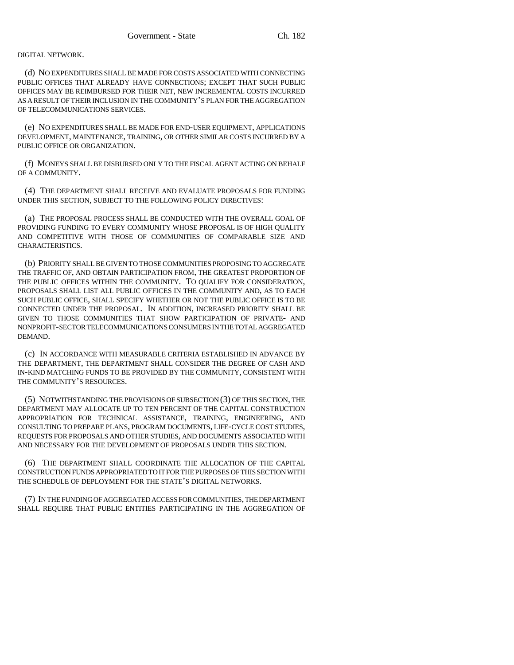## DIGITAL NETWORK.

(d) NO EXPENDITURES SHALL BE MADE FOR COSTS ASSOCIATED WITH CONNECTING PUBLIC OFFICES THAT ALREADY HAVE CONNECTIONS; EXCEPT THAT SUCH PUBLIC OFFICES MAY BE REIMBURSED FOR THEIR NET, NEW INCREMENTAL COSTS INCURRED AS A RESULT OF THEIR INCLUSION IN THE COMMUNITY'S PLAN FOR THE AGGREGATION OF TELECOMMUNICATIONS SERVICES.

(e) NO EXPENDITURES SHALL BE MADE FOR END-USER EQUIPMENT, APPLICATIONS DEVELOPMENT, MAINTENANCE, TRAINING, OR OTHER SIMILAR COSTS INCURRED BY A PUBLIC OFFICE OR ORGANIZATION.

(f) MONEYS SHALL BE DISBURSED ONLY TO THE FISCAL AGENT ACTING ON BEHALF OF A COMMUNITY.

(4) THE DEPARTMENT SHALL RECEIVE AND EVALUATE PROPOSALS FOR FUNDING UNDER THIS SECTION, SUBJECT TO THE FOLLOWING POLICY DIRECTIVES:

(a) THE PROPOSAL PROCESS SHALL BE CONDUCTED WITH THE OVERALL GOAL OF PROVIDING FUNDING TO EVERY COMMUNITY WHOSE PROPOSAL IS OF HIGH QUALITY AND COMPETITIVE WITH THOSE OF COMMUNITIES OF COMPARABLE SIZE AND CHARACTERISTICS.

(b) PRIORITY SHALL BE GIVEN TO THOSE COMMUNITIES PROPOSING TO AGGREGATE THE TRAFFIC OF, AND OBTAIN PARTICIPATION FROM, THE GREATEST PROPORTION OF THE PUBLIC OFFICES WITHIN THE COMMUNITY. TO QUALIFY FOR CONSIDERATION, PROPOSALS SHALL LIST ALL PUBLIC OFFICES IN THE COMMUNITY AND, AS TO EACH SUCH PUBLIC OFFICE, SHALL SPECIFY WHETHER OR NOT THE PUBLIC OFFICE IS TO BE CONNECTED UNDER THE PROPOSAL. IN ADDITION, INCREASED PRIORITY SHALL BE GIVEN TO THOSE COMMUNITIES THAT SHOW PARTICIPATION OF PRIVATE- AND NONPROFIT-SECTOR TELECOMMUNICATIONS CONSUMERS IN THE TOTAL AGGREGATED DEMAND.

(c) IN ACCORDANCE WITH MEASURABLE CRITERIA ESTABLISHED IN ADVANCE BY THE DEPARTMENT, THE DEPARTMENT SHALL CONSIDER THE DEGREE OF CASH AND IN-KIND MATCHING FUNDS TO BE PROVIDED BY THE COMMUNITY, CONSISTENT WITH THE COMMUNITY'S RESOURCES.

(5) NOTWITHSTANDING THE PROVISIONS OF SUBSECTION (3) OF THIS SECTION, THE DEPARTMENT MAY ALLOCATE UP TO TEN PERCENT OF THE CAPITAL CONSTRUCTION APPROPRIATION FOR TECHNICAL ASSISTANCE, TRAINING, ENGINEERING, AND CONSULTING TO PREPARE PLANS, PROGRAM DOCUMENTS, LIFE-CYCLE COST STUDIES, REQUESTS FOR PROPOSALS AND OTHER STUDIES, AND DOCUMENTS ASSOCIATED WITH AND NECESSARY FOR THE DEVELOPMENT OF PROPOSALS UNDER THIS SECTION.

(6) THE DEPARTMENT SHALL COORDINATE THE ALLOCATION OF THE CAPITAL CONSTRUCTION FUNDS APPROPRIATED TO IT FOR THE PURPOSES OF THIS SECTION WITH THE SCHEDULE OF DEPLOYMENT FOR THE STATE'S DIGITAL NETWORKS.

(7) IN THE FUNDING OF AGGREGATED ACCESS FOR COMMUNITIES, THE DEPARTMENT SHALL REQUIRE THAT PUBLIC ENTITIES PARTICIPATING IN THE AGGREGATION OF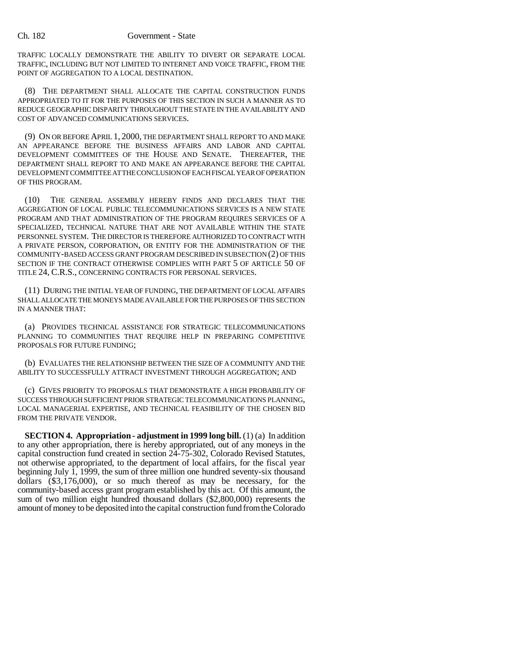TRAFFIC LOCALLY DEMONSTRATE THE ABILITY TO DIVERT OR SEPARATE LOCAL TRAFFIC, INCLUDING BUT NOT LIMITED TO INTERNET AND VOICE TRAFFIC, FROM THE POINT OF AGGREGATION TO A LOCAL DESTINATION.

(8) THE DEPARTMENT SHALL ALLOCATE THE CAPITAL CONSTRUCTION FUNDS APPROPRIATED TO IT FOR THE PURPOSES OF THIS SECTION IN SUCH A MANNER AS TO REDUCE GEOGRAPHIC DISPARITY THROUGHOUT THE STATE IN THE AVAILABILITY AND COST OF ADVANCED COMMUNICATIONS SERVICES.

(9) ON OR BEFORE APRIL 1, 2000, THE DEPARTMENT SHALL REPORT TO AND MAKE AN APPEARANCE BEFORE THE BUSINESS AFFAIRS AND LABOR AND CAPITAL DEVELOPMENT COMMITTEES OF THE HOUSE AND SENATE. THEREAFTER, THE DEPARTMENT SHALL REPORT TO AND MAKE AN APPEARANCE BEFORE THE CAPITAL DEVELOPMENT COMMITTEE AT THE CONCLUSION OF EACH FISCAL YEAR OF OPERATION OF THIS PROGRAM.

(10) THE GENERAL ASSEMBLY HEREBY FINDS AND DECLARES THAT THE AGGREGATION OF LOCAL PUBLIC TELECOMMUNICATIONS SERVICES IS A NEW STATE PROGRAM AND THAT ADMINISTRATION OF THE PROGRAM REQUIRES SERVICES OF A SPECIALIZED, TECHNICAL NATURE THAT ARE NOT AVAILABLE WITHIN THE STATE PERSONNEL SYSTEM. THE DIRECTOR IS THEREFORE AUTHORIZED TO CONTRACT WITH A PRIVATE PERSON, CORPORATION, OR ENTITY FOR THE ADMINISTRATION OF THE COMMUNITY-BASED ACCESS GRANT PROGRAM DESCRIBED IN SUBSECTION (2) OF THIS SECTION IF THE CONTRACT OTHERWISE COMPLIES WITH PART 5 OF ARTICLE 50 OF TITLE 24, C.R.S., CONCERNING CONTRACTS FOR PERSONAL SERVICES.

(11) DURING THE INITIAL YEAR OF FUNDING, THE DEPARTMENT OF LOCAL AFFAIRS SHALL ALLOCATE THE MONEYS MADE AVAILABLE FOR THE PURPOSES OF THIS SECTION IN A MANNER THAT:

(a) PROVIDES TECHNICAL ASSISTANCE FOR STRATEGIC TELECOMMUNICATIONS PLANNING TO COMMUNITIES THAT REQUIRE HELP IN PREPARING COMPETITIVE PROPOSALS FOR FUTURE FUNDING;

(b) EVALUATES THE RELATIONSHIP BETWEEN THE SIZE OF A COMMUNITY AND THE ABILITY TO SUCCESSFULLY ATTRACT INVESTMENT THROUGH AGGREGATION; AND

(c) GIVES PRIORITY TO PROPOSALS THAT DEMONSTRATE A HIGH PROBABILITY OF SUCCESS THROUGH SUFFICIENT PRIOR STRATEGIC TELECOMMUNICATIONS PLANNING, LOCAL MANAGERIAL EXPERTISE, AND TECHNICAL FEASIBILITY OF THE CHOSEN BID FROM THE PRIVATE VENDOR.

**SECTION 4. Appropriation - adjustment in 1999 long bill.** (1) (a) In addition to any other appropriation, there is hereby appropriated, out of any moneys in the capital construction fund created in section 24-75-302, Colorado Revised Statutes, not otherwise appropriated, to the department of local affairs, for the fiscal year beginning July 1, 1999, the sum of three million one hundred seventy-six thousand dollars (\$3,176,000), or so much thereof as may be necessary, for the community-based access grant program established by this act. Of this amount, the sum of two million eight hundred thousand dollars (\$2,800,000) represents the amount of money to be deposited into the capital construction fund from the Colorado